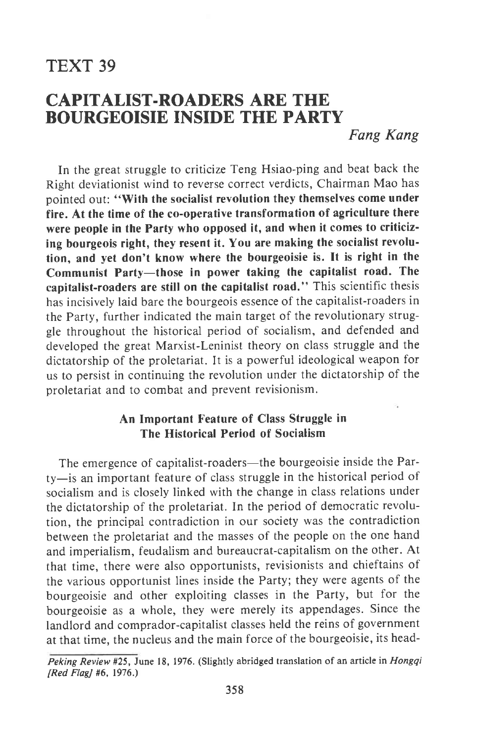## TEXT 39

## CAPITALIST.ROADERS ARE THE BOURGEOISIE INSIDE THE PARTY

Fang Kang

In the great struggle to criticize Teng Hsiao-ping and beat back the Right deviationist wind to reverse correct verdicts, Chairman Mao has pointed out: "With the socialist revolution they themselves come under fire. At the time of the co-operative transformation of agriculture there were people in the Party who opposed it, and when it comes to criticiz' ing bourgeois right, they resent it. You are making the socialist revolution. and yet don't know where the bourgeoisie is. It is right in the Communist Party-those in power taking the capitalist road. The capitalist-roaders are still on the capitalist road." This scientific thesis has incisively laid bare the bourgeois essence of the capitalist-roaders in the Party, further indicated the main target of the revolutionary struggle throughout the historical period of socialism, and defended and developed the great Marxist-Leninist theory on class struggle and the dictatorship of the proletariat. It is a powerful ideological weapon for us to persist in continuing the revolution under the dictatorship of the proletariat and to combat and prevent revisionism.

#### An Important Feature of Class Struggle in The Historical Period of Socialism

The emergence of capitalist-roaders—the bourgeoisie inside the Party-is an important feature of class struggle in the historical period of socialism and is closely linked with the change in class relations under the dictatorship of the proletariat. In the period of democratic revolution, the principal contradiction in our society was the contradiction between the proletariat and the masses of the people on the one hand and imperialism, feudalism and bureaucrat-capitalism on the other. At that time, there were also opportunists, revisionists and chieftains of the various opportunist lines inside the Party; they were agents of the bourgeoisie and other exploiting classes in the Party, but for the bourgeoisie as a whole, they were merely its appendages. Since the landlord and comprador-capitalist classes held the reins of government at that time, the nucleus and the main force of the bourgeoisie, its head-

Peking Review #25, June 18, 1976. (Slightly abridged translation of an article in Hongqi [Red Flag] #6, 1976.)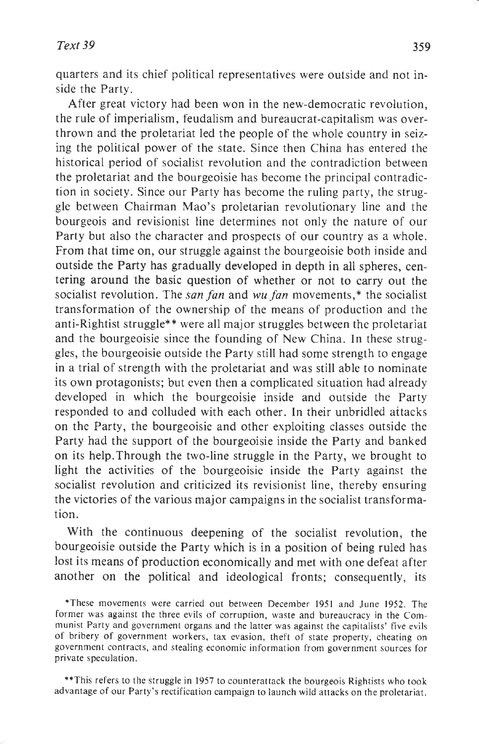quarters and its chief political representatives were outside and not inside the Party.

After great victory had been won in the new-democratic revolution, the rule of imperialism, feudalism and bureaucrat-capitalism was overthrown and the proletariat led the people of the whole country in seizing the political power of the state. Since then China has entered the historical period of socialist revolution and the contradiction between the proletariat and the bourgeoisie has become the principal contradiction in society. Since our Party has become the ruling party, the struggle between Chairman Mao's proletarian revolutionary line and the bourgeois and revisionist line determines not only the nature of our Party but also the character and prospects of our country as a whole. From that time on, our struggle against the bourgeoisie both inside and outside the Party has gradually developed in depth in all spheres, centering around the basic question of whether or not to carry out the socialist revolution. The *san fan* and *wu fan* movements,<sup>\*</sup> the socialist transformation of the ownership of the means of production and the anti-Rightist struggle\*\* were all major struggles between the proletariat and the bourgeoisie since the founding of New China. In these struggles, the bourgeoisie outside the Party still had some strength to engage in a trial of strength with the proletariat and was still able to nominate its own protagonists; but even then a complicated situation had already developed in which the bourgeoisie inside and outside the Party responded to and colluded with each other. In their unbridled aitacks on the Party, the bourgeoisie and other exploiting classes outside the Party had the support of the bourgeoisie inside the Party and banked on its help.Through the two-line struggle in the Party, we brought to light the activities of the bourgeoisie inside the Party against the socialist revolution and criticized its revisionist line, thereby ensuring the victories of the various major campaigns in the socialist transforrnation.

With the continuous deepening of the socialist revolution, the bourgeoisie outside the Party which is in a position of being ruled has lost its means of production economically and met with one defeat after another on the political and ideological fronts; consequently, its

\*These movements were carried out between December l95l and June 1952. The former was against the three evils of corruption, waste and bureaucracy in the Communist Party and government organs and the latter was against the capitalists' five evils of bribery of government workers, tax evasion, theft of state property, cheating on government contracts, and stealing economic information from government sources for private speculation.

\*\* This refers to the struggle in 1957 to counterattack the bourgeois Rightists who took advantage of our Party's rectification campaign to launch wild attacks on the proletariat.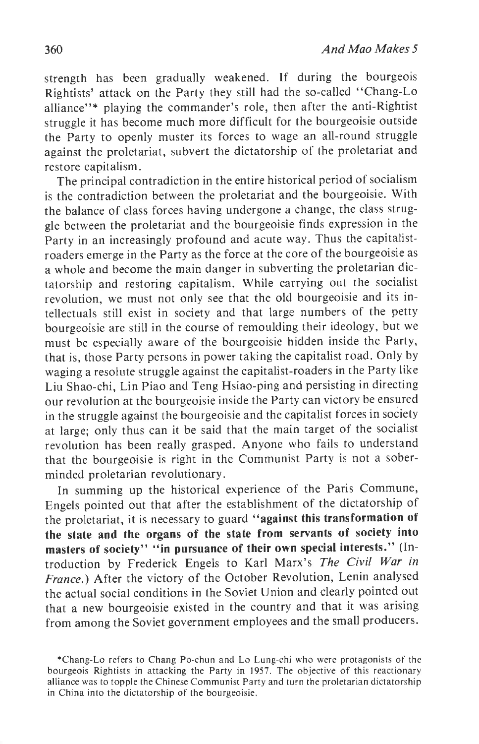strength has been gradually weakened. If during the bourgeois Rightists' attack on the Party they still had the so-called "Chang-Lo alliance"\* playing the commander's role, then after the anti-Rightist struggle it has become much more difficult for the bourgeoisie outside the Party to openly muster its forces to wage an all-round struggle against the proletariat, subvert the dictatorship of the proletariat and restore capitalism.

The principal contradiction in the entire historical period of socialism is the contradiction between the proletariat and the bourgeoisie. With the balance of class forces having undergone a change, the class struggle between the proletariat and the bourgeoisie finds expression in the Party in an increasingly profound and acute way. Thus the capitalistroaders emerge in the Party as the force at the core of the bourgeoisie as a whole and become the main danger in subverting the proletarian dictatorship and restoring capitalism. While carrying out the socialist revolution, we must not only see that the old bourgeoisie and its intellectuals still exist in society and that large numbers of the petty bourgeoisie are still in the course of remoulding their ideology, but we must be especially aware of the bourgeoisie hidden inside the Party, that is, those Party persons in power taking the capitalist road. Only by waging a resolute struggle against the capitalist-roaders in the Party like Liu Shao-chi, Lin Piao and Teng Hsiao-ping and persisting in directing our revolution at the bourgeoisie inside the Party can victory be ensured in the struggle against the bourgeoisie and the capitalist forces in society at large; only thus can it be said that the main target of the socialist revolution has been really grasped. Anyone who fails to understand that the bourgeoisie is right in the Communist Party is not a soberminded proletarian revolutionary.

In summing up the historical experience of the Paris Commune, Engels pointed out that after the establishment of the dictatorship of the proletariat, it is necessary to guard "against this transformation of the state and the organs of the state from servants of society into masters of society" "in pursuance of their own special interests." (Introduction by Frederick Engels to Karl Marx's The Civil War in France.) After the victory of the October Revolution, Lenin analysed the actual social conditions in the Soviet Union and clearly pointed out that a new bourgeoisie existed in the country and that it was arising from among the Soviet government employees and the small producers.

<sup>+</sup>Chang-Lo refers to Chang Po-chun and Lo Lung-chi who were protagonists of the bourgeois Rightists in attacking the Party in 1957. The objective of this reactionary alliance was to topple the Chinese Communist Party and turn the proletarian dictatorship in China into the dictatorship of the bourgeoisie.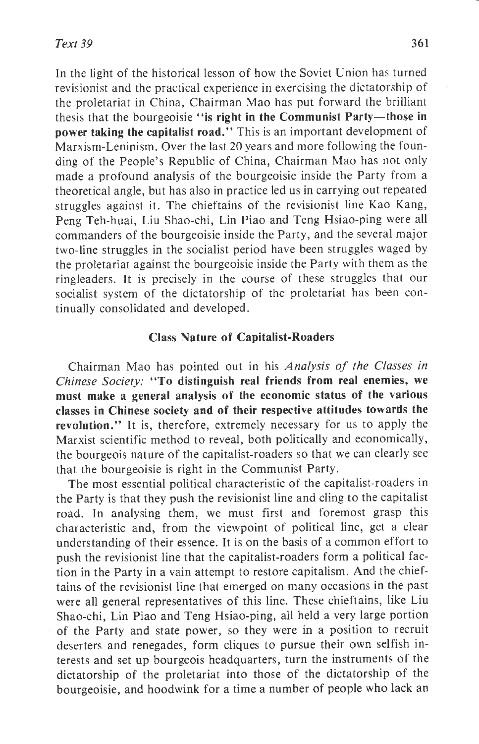In the light of the historical lesson of how the Soviet Union has turned revisionist and the practical experience in exercising the dictatorship of the proletariat in China, Chairman Mao has put forward the brilliant thesis that the bourgeoisie "is right in the Communist Party-those in power taking the capitalist road." This is an important development of Marxism-Leninism. Over the last 20 years and more following the founding of the People's Republic of China, Chairman Mao has not only made a profound analysis of the bourgeoisie inside the Party from <sup>a</sup> theoretical angle, but has also in practice led us in carrying out repeated struggles against it. The chieftains of the revisionist line Kao Kang, Peng Teh-huai, Liu Shao-chi, Lin Piao and Teng Hsiao-ping were all commanders of the bourgeoisie inside the Party, and the several major two-line struggles in the socialist period have been struggles waged by the proletariat against the bourgeoisie inside the Party with them as the ringleaders. It is precisely in the course of these struggles that our socialist system of the dictatorship of the proletariat has been continually consolidated and developed.

#### Class Nature of Capitalist-Roaders

Chairman Mao has pointed out in his Analysis of the Classes in Chinese Society: "To distinguish real friends from real enemies, we must make a general analysis of the economic status of the various classes in Chinese society and of their respective attitudes towards the revolution." It is, therefore, extremely necessary for us to apply the Marxist scientific method to reveal, both politically and economically, the bourgeois nature of the capitalist-roaders so that we can clearly see that the bourgeoisie is right in the Communist Party.

The most essential political characteristic of the capitalist-roaders in the Party is that they push the revisionist line and cling to the capitalist road. In analysing them, we must first and foremost grasp this characteristic and, from the viewpoint of political line, get a clear understanding of their essence. It is on the basis of a common effort to push the revisionist line that the capitalist-roaders form a political faction in the Party in a vain attempt to restore capitalism. And the chieftains of the revisionist line that emerged on many occasions in the past were all general representatives of this line. These chieftains, like Liu Shao-chi, Lin Piao and Teng Hsiao-ping, all held a very large portion of the Party and state power, so they were in a position to recruit deserters and renegades, form cliques to pursue their own selfish interests and set up bourgeois headquarters, turn the instruments of the dictatorship of the proletariat into those of the dictatorship of the bourgeoisie, and hoodwink for a time a number of people who lack an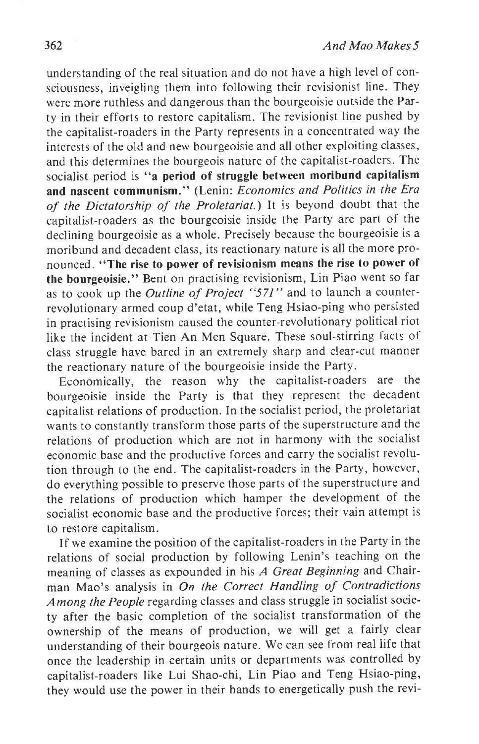understanding of the real situation and do not have a high level of consciousness, inveigling them into following their revisionist line. They were more ruthless and dangerous than the bourgeoisie outside the Party in their efforts to restore capitalism. The revisionist line pushed by the capitalist-roaders in the Party represents in a concentrated way the interests of the old and new bourgeoisie and all other exploiting classes, and this determines the bourgeois nature of the capitalist-roaders. The socialist period is "a period of struggle between moribund capitalism and nascent communism." (Lenin: Economics and Politics in the Era of the Dictatorship of the Proletarial.) It is beyond doubt that the capitalist-roaders as the bourgeoisie inside the Party are part of the declining bourgeoisie as a whole. Precisely because the bourgeoisie is a moribund and decadent class, its reactionary nature is all the more pronounced. "The rise to power of revisionism means the rise to power of the bourgeoisie." Bent on practising revisionism, Lin Piao went so far as to cook up the *Outline of Project* "571" and to launch a counterrevolutionary armed coup d'etat, while Teng Hsiao-ping who persisted in practising revisionism caused the counter-revolutionary political riot like the incident at Tien An Men Square. These soul-stirring facts of class struggle have bared in an extremely sharp and clear-cut manner the reactionary nature of the bourgeoisie inside the Party.

Economically, the reason why the capitalist-roaders are the bourgeoisie inside the Party is that they represent the decadent capitalist relations of production. In the socialist period, the proletariat wants to constantly transform those parts of the superstructure and the relations of production which are not in harmony with the socialist economic base and the productive forces and carry the socialist revolution through to the end. The capitalist-roaders in the Party, however, do everything possible to preserve those parts of the superstructure and the relations of production which hamper the development of the socialist economic base and the productive forces; their vain attempt is to restore capitalism.

If we examine the position of the capitalist-roaders in the Party in the relations of social production by following Lenin's teaching on the meaning of classes as expounded in his A Great Beginning and Chairman Mao's analysis in On the Correct Handling of Contradictions Among the People regarding classes and class struggle in socialist society after the basic completion of the socialist transformation of the ownership of the means of production, we will get a fairly clear understanding of their bourgeois nature. We can see from real life that once the leadership in certain units or departments was controlled by capitalist-roaders like Lui Shao-chi, Lin Piao and Teng Hsiao-ping, they would use the power in their hands to energetically push the revi-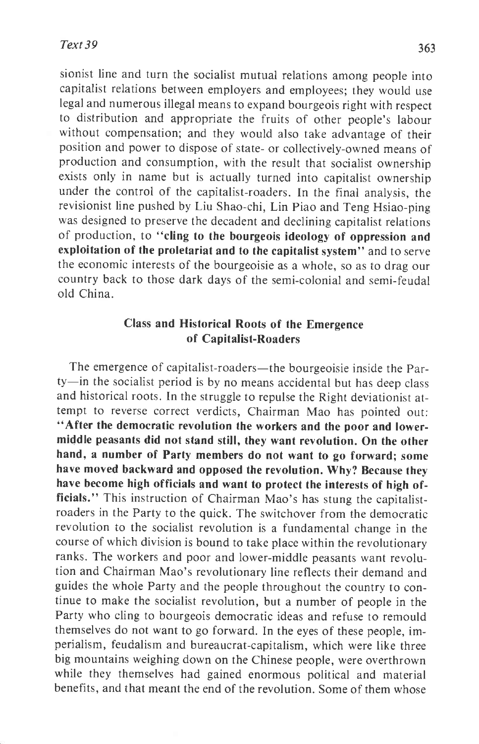sionist line and turn the socialist mutual relations among people into capitalist relations between employers and employees; they would use legal and numerous illegal means to expand bourgeois right with respect to distribution and appropriate the fruits of other people's labour without compensation; and they would also take advantage of their position and power to dispose of state- or collectively-owned means of production and consumption, with the result that socialist ownership exists only in name but is actually turned into capitalist ownership under the control of the capitalist-roaders. In the final analysis, the revisionist line pushed by Liu Shao-chi, Lin piao and Teng Hsiao-ping was designed to preserve the decadent and declining capitalist relations of production, to "cling to the bourgeois ideology of oppression and exploitation of the proletariat and to the capitalist system" and to serve the economic interests of the bourgeoisie as a whole, so as to drag our country back to those dark days of the semi-colonial and semi-feudal old China.

#### Class and Historical Roots of the Emergence of Capitalist-Roaders

The emergence of capitalist-roaders—the bourgeoisie inside the Par $ty$ -in the socialist period is by no means accidental but has deep class and historical roots. In the struggle to repulse the Right deviationist attempt to reverse correct verdicts, Chairman Mao has pointed out: "After the democratic revolution the workers and the poor and Iowermiddle peasants did not stand still, they want revolution. On the other hand, a number of Party members do not want to go forward; some have moved backward and opposed the revolution. Why? Because they have become high officials and want to protect the interests of high officials." This instruction of Chairman Mao's has stung the capitalistroaders in the Party to the quick. The switchover from the democratic revolution to the socialist revolution is a fundamental change in the course of which division is bound to take place within the revolutionary ranks. The workers and poor and lower-middle peasants want revolution and Chairman Mao's revolutionary line reflects their demand and guides the whole Party and the people throughout the country to continue to make the socialist revolution, but a number of people in the Party who cling to bourgeois democratic ideas and refuse to remould themselves do not want to go forward. In the eyes of these people, imperialism, feudalism and bureaucrat-capitalism, which were like three big mountains weighing down on the Chinese people, were overthrown while they themselves had gained enormous political and material benefits, and that meant the end of the revolution. Some of them whose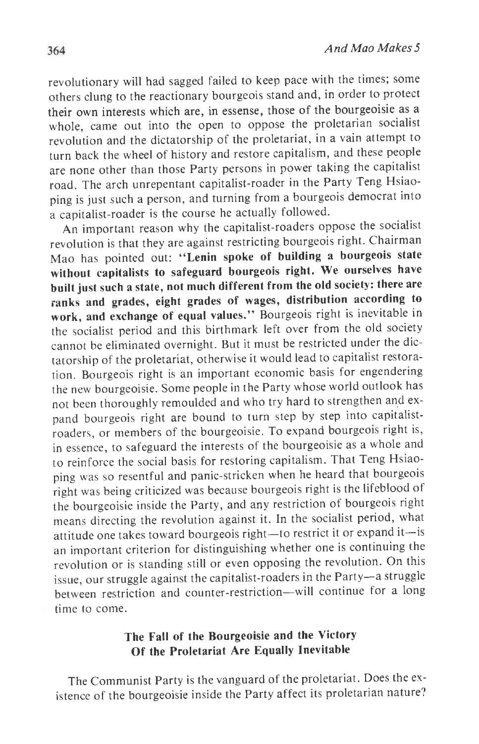revolutionary will had sagged failed to keep pace with the times; some others clung to the reactionary bourgeois stand and, in order to protect their own interests which are, in essense, those of the bourgeoisie as <sup>a</sup> whole, came out into the open to oppose the proletarian socialist revolution and the dictatorship of the proletariat, in a vain attempt to turn back the wheel of history and restore capitalism, and these people are none other than those Party persons in power taking the capitalist road. The arch unrepentant capitalist-roader in the Party Teng Hsiaoping is just such a person, and turning from a bourgeois democrat into a capitalist-roader is the course he actually followed.

An important reason why the capitalist-roaders oppose the socialist revolution is that they are against restricting bourgeois right. Chairman Mao has pointed out: "Lenin spoke of building a bourgeois state without capitalists to safeguard bourgeois right. We ourselves have built just such a state, not much different from the old society: there are ranks and grades, eight grades of wages, distribution according to work, and exchange of equal values." Bourgeois right is inevitable in the socialist period and this birthmark left over from the old society cannot be eliminated overnight. But it must be restricted under the dictatorship of the proletariat, otherwise it would lead to capitalist restoration. Bourgeois right is an important economic basis for engendering the new bourgeoisie. Some people in the Party whose world outlook has not been thoroughly remoulded and who try hard to strengthen and expand bourgeois right are bound to turn step by step into capitalistroaders, or members of the bourgeoisie. To expand bourgeois right is, in essence, to safeguard the interests of the bourgeoisie as a whole and to reinforce the social basis for restoring capitalism. That Teng Hsiaoping was so resentful and panic-stricken when he heard that bourgeois right was being criticized was because bourgeois right is the lifeblood of the bourgeoisie inside the Party, and any restriction of bourgeois right means directing the revolution against it. In the socialist period, what attitude one takes toward bourgeois right-to restrict it or expand it-is an important criterion for distinguishing whether one is continuing the revolution or is standing still or even opposing the revolution. On this issue, our struggle against the capitalist-roaders in the Party-a struggle between restriction and counter-restriction-will continue for a long time to come.

#### The Fall of the Bourgeoisie and the Victory Of the Proletariat Are Equally Inevitable

The communist Party is the vanguard of the proletariat. Does the eristence of the bourgeoisie inside the Party affect its proletarian nature?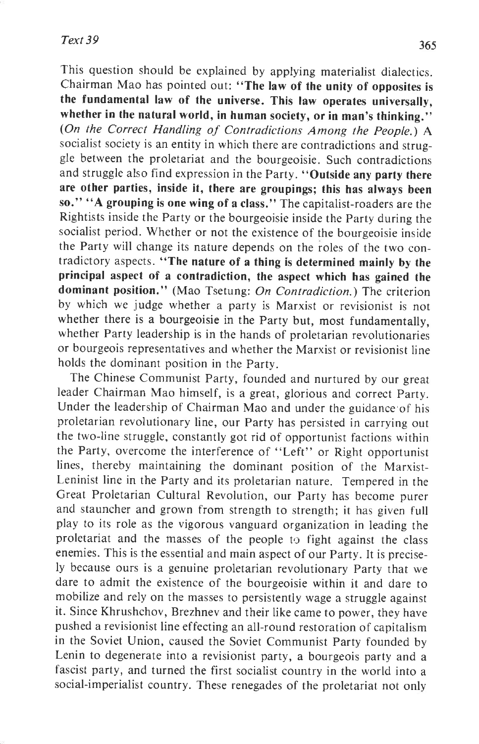# $Text\,39$  365

This question should be explained by applying materialist dialectics. Chairman Mao has pointed out: "The law of the unity of opposites is the fundamental law of the universe. This law operates universally, whether in the natural world, in human society, or in man's thinking." (On the Correct Handling of Contradictions Among the People.) A socialist society is an entity in which there are contradictions and struggle between the proletariat and the bourgeoisie. Such contradictions and struggle also find expression in the Party. "Outside any party there are other parties, inside it, there are groupings; this has always been so." "A grouping is one wing of a class." The capitalist-roaders are the Rightists inside the Party or the bourgeoisie inside the party during the socialist period. Whether or not the existence of the bourgeoisie inside the Party will change its nature depends on the roles of the two contradictory aspects. "The nature of a thing is determined mainly by the principal aspect of a contradiction, the aspect which has gained the dominant position." (Mao Tsetung: On Contradiction.) The criterion by which we judge whether a party is Marxist or revisionist is not whether there is a bourgeoisie in the Party but, most fundamentally, whether Party leadership is in the hands of proletarian revolutionaries or bourgeois representatives and whether the Marxist or revisionist line holds the dominant position in the Party.

The Chinese Communist Party, founded and nurtured by our great leader Chairman Mao himself, is a great, glorious and correct party. Under the leadership of Chairman Mao and under the guidance of his proletarian revolutionary line, our Party has persisted in carrying out the two-line struggle, constantly got rid of opportunist factions within the Party, overcome the interference of "Left" or Right opportunist lines, thereby maintaining the dominant position of the Marxist-Leninist line in the Party and its proletarian nature. Tempered in the Creat Proletarian Cultural Revolution, our Party has become purer and stauncher and grown from strength to strength; it has given full play to its role as the vigorous vanguard organization in leading the proletariat and the masses of the people to fight against the class enemies. This is the essential and main aspect of our Party. It is precisely because ours is a genuine proletarian revolutionary Party that we dare to admit the existence of the bourgeoisie within it and dare to mobilize and rely on the masses to persistently wage a struggle against it. Since Khrushchov, Brezhnev and their like came to power, they have pushed a revisionist line effecting an all-round restoration of capitalism in the Soviet Union, caused the Soviet Communist Party founded by Lenin to degenerate into a revisionist party, a bourgeois party and <sup>a</sup> fascist party, and turned the first socialist country in the world into <sup>a</sup> social-imperialist country. These renegades of the proletariat not only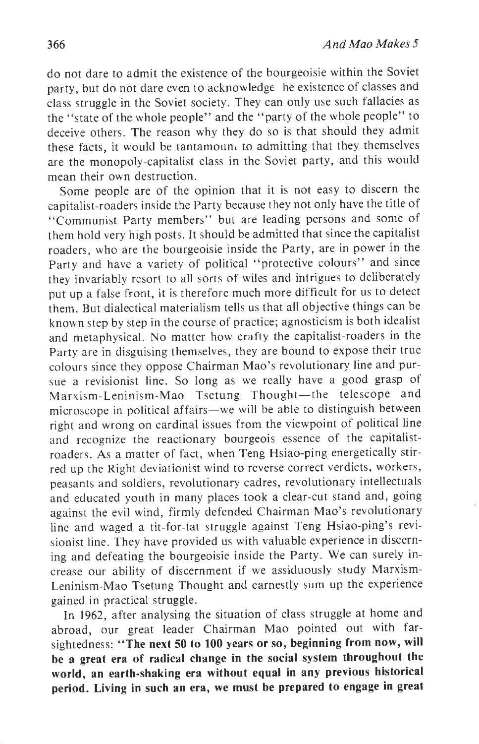clo not dare to admit the existence of the bourgeoisie within the Soviet party, but do not dare even to acknowledge he existence of classes and class struggle in the Soviet society. They can only use such fallacies as the "state of the whole people" and the "party of the whole people" to deceive others. The reason why they do so is that should they admit these facts, it would be tantamoun. to admitting that they themselves are the monopoly-capitalist class in the Soviet party, and this would mean their own destruction.

Some people are of the opinion that it is not easy to discern the capitalist-roaders inside the Party because they not only have the title of "Communist Party members" but are leading persons and some of them hold very high posts. It should be admitted that since the capitalist roaders, who are the bourgeoisie inside the Party, are in power in the Party and have a variety of political "protective colours" and since they invariably resort to all sorts of wiles and intrigues to deliberately put up a false front, it is therefore much more difficult for us to detect them. But dialectical materialism tells us that all objective things can be known step by step in the course of practice; agnosticism is both idealist and metaphysical. No matter how crafty the capitalist-roaders in the Party are in disguising themselves, they are bound to expose their true colours since they oppose Chairman Mao's revolutionary line and pursue a revisionist line. So long as we really have a good grasp of Marxism-Leninism-Mao Tsetung Thought-the telescope and microscope in political affairs-we will be able to distinguish between right and wrong on cardinal issues from the viewpoint of political line and recognize the reactionary bourgeois essence of the capitalistroaders. As a matter of fact, when Teng Hsiao-ping energetically stirred up the Right deviationist wind to reverse correct verdicts, workers, peasants and soldiers, revolutionary cadres, revolutionary intellectuals and eclucated youth in many places took a clear-cut stand and, going against the evil wind, firmly defended Chairman Mao's revolutionary line and waged a tit-for-tat struggle against Teng Hsiao-ping's revisionist line. They have provided us with valuable experience in discerning and defeating the bourgeoisie inside the Party. We can surely increase our ability of discernment if we assiduously study Marxism-Leninism-Mao Tsetung Thought and earnestly sum up the experience gained in practical struggle.

ln 1962, after analysing the situation of class struggle at home and abroad, our great leader Chairman Mao pointed out with farsightedness: "The next 50 to 100 years or so, beginning from now, will be a great era of radical change in the social system throughout the world, an earth-shaking era without equal in any previous historical period. Living in such an era, we must be prepared to engage in great